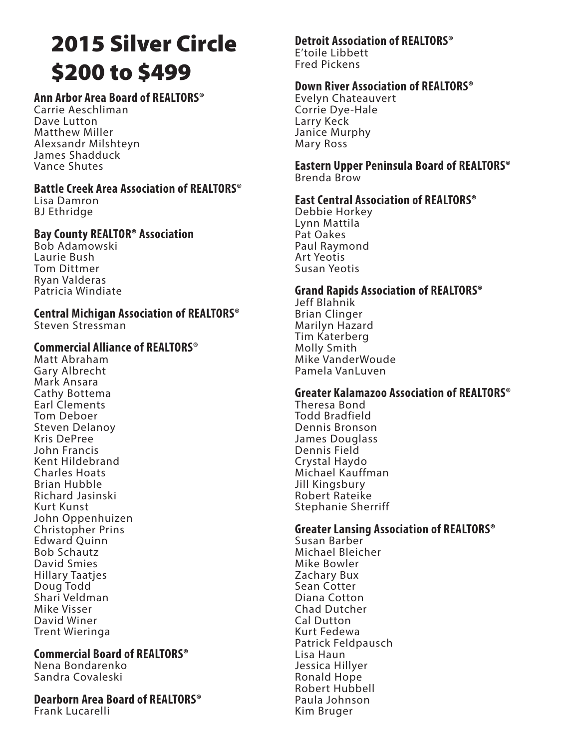# 2015 Silver Circle \$200 to \$499

#### **Ann Arbor Area Board of REALTORS®**

Carrie Aeschliman Dave Lutton Matthew Miller Alexsandr Milshteyn James Shadduck Vance Shutes

#### **Battle Creek Area Association of REALTORS®**

Lisa Damron BJ Ethridge

#### **Bay County REALTOR® Association**

Bob Adamowski Laurie Bush Tom Dittmer Ryan Valderas Patricia Windiate

### **Central Michigan Association of REALTORS®**

Steven Stressman

#### **Commercial Alliance of REALTORS®**

Matt Abraham Gary Albrecht Mark Ansara Cathy Bottema Earl Clements Tom Deboer Steven Delanoy Kris DePree John Francis Kent Hildebrand Charles Hoats Brian Hubble Richard Jasinski Kurt Kunst John Oppenhuizen Christopher Prins Edward Quinn Bob Schautz David Smies Hillary Taatjes Doug Todd Shari Veldman Mike Visser David Winer Trent Wieringa

#### **Commercial Board of REALTORS®**

Nena Bondarenko Sandra Covaleski

#### **Dearborn Area Board of REALTORS®**

Frank Lucarelli

#### **Detroit Association of REALTORS®** E'toile Libbett

Fred Pickens

#### **Down River Association of REALTORS®**

Evelyn Chateauvert Corrie Dye-Hale Larry Keck Janice Murphy Mary Ross

#### **Eastern Upper Peninsula Board of REALTORS®** Brenda Brow

#### **East Central Association of REALTORS®**

Debbie Horkey Lynn Mattila Pat Oakes Paul Raymond Art Yeotis Susan Yeotis

#### **Grand Rapids Association of REALTORS®**

Jeff Blahnik Brian Clinger Marilyn Hazard Tim Katerberg Molly Smith Mike VanderWoude Pamela VanLuven

#### **Greater Kalamazoo Association of REALTORS®**

Theresa Bond Todd Bradfield Dennis Bronson James Douglass Dennis Field Crystal Haydo Michael Kauffman Jill Kingsbury Robert Rateike Stephanie Sherriff

#### **Greater Lansing Association of REALTORS®**

Susan Barber Michael Bleicher Mike Bowler Zachary Bux Sean Cotter Diana Cotton Chad Dutcher Cal Dutton Kurt Fedewa Patrick Feldpausch Lisa Haun Jessica Hillyer Ronald Hope Robert Hubbell Paula Johnson Kim Bruger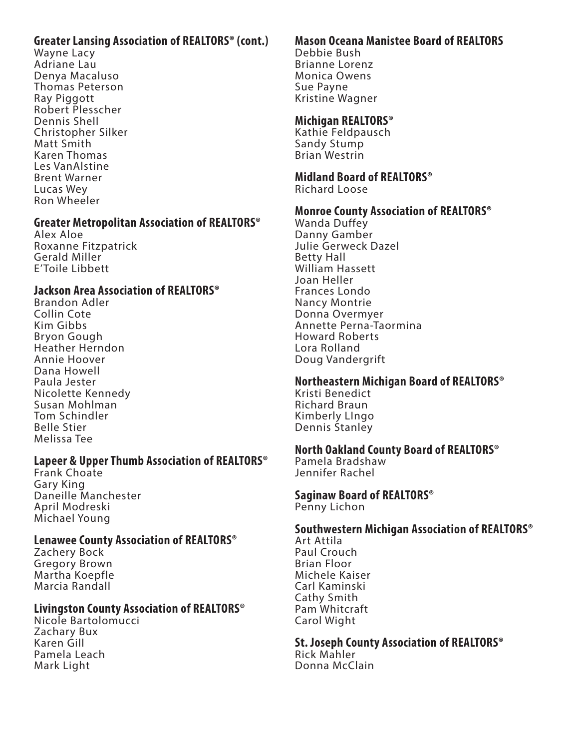#### **Greater Lansing Association of REALTORS® (cont.)**

Wayne Lacy Adriane Lau Denya Macaluso Thomas Peterson Ray Piggott Robert Plesscher Dennis Shell Christopher Silker Matt Smith Karen Thomas Les VanAlstine Brent Warner Lucas Wey Ron Wheeler

#### **Greater Metropolitan Association of REALTORS®**

Alex Aloe Roxanne Fitzpatrick Gerald Miller E'Toile Libbett

#### **Jackson Area Association of REALTORS®**

Brandon Adler Collin Cote Kim Gibbs Bryon Gough Heather Herndon Annie Hoover Dana Howell Paula Jester Nicolette Kennedy Susan Mohlman Tom Schindler Belle Stier Melissa Tee

#### **Lapeer & Upper Thumb Association of REALTORS®**

Frank Choate Gary King Daneille Manchester April Modreski Michael Young

#### **Lenawee County Association of REALTORS®**

Zachery Bock Gregory Brown Martha Koepfle Marcia Randall

#### **Livingston County Association of REALTORS®**

Nicole Bartolomucci Zachary Bux Karen Gill Pamela Leach Mark Light

## **Mason Oceana Manistee Board of REALTORS**

Debbie Bush Brianne Lorenz Monica Owens Sue Payne Kristine Wagner

#### **Michigan REALTORS®**

Kathie Feldpausch Sandy Stump Brian Westrin

## **Midland Board of REALTORS®**

Richard Loose

#### **Monroe County Association of REALTORS®**

Wanda Duffey Danny Gamber Julie Gerweck Dazel Betty Hall William Hassett Joan Heller Frances Londo Nancy Montrie Donna Overmyer Annette Perna-Taormina Howard Roberts Lora Rolland Doug Vandergrift

#### **Northeastern Michigan Board of REALTORS®**

Kristi Benedict Richard Braun Kimberly LIngo Dennis Stanley

#### **North Oakland County Board of REALTORS®**

Pamela Bradshaw Jennifer Rachel

## **Saginaw Board of REALTORS®**

Penny Lichon

#### **Southwestern Michigan Association of REALTORS®**

Art Attila Paul Crouch Brian Floor Michele Kaiser Carl Kaminski Cathy Smith Pam Whitcraft Carol Wight

**St. Joseph County Association of REALTORS®** Rick Mahler Donna McClain